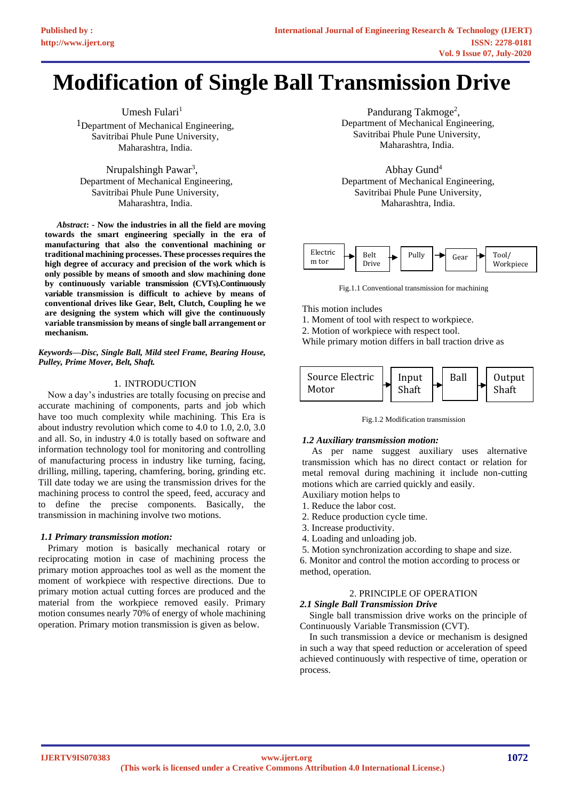# **Modification of Single Ball Transmission Drive**

Umesh Fulari $<sup>1</sup>$ </sup> <sup>1</sup>Department of Mechanical Engineering, Savitribai Phule Pune University, Maharashtra, India.

Nrupalshingh Pawar<sup>3</sup>, Department of Mechanical Engineering, Savitribai Phule Pune University, Maharashtra, India.

*Abstract***: - Now the industries in all the field are moving towards the smart engineering specially in the era of manufacturing that also the conventional machining or traditional machining processes. These processes requires the high degree of accuracy and precision of the work which is only possible by means of smooth and slow machining done by continuously variable transmission (CVTs).Continuously variable transmission is difficult to achieve by means of conventional drives like Gear, Belt, Clutch, Coupling he we are designing the system which will give the continuously variable transmission by means of single ball arrangement or mechanism.**

*Keywords—Disc, Single Ball, Mild steel Frame, Bearing House, Pulley, Prime Mover, Belt, Shaft.*

#### 1. INTRODUCTION

 Now a day's industries are totally focusing on precise and accurate machining of components, parts and job which have too much complexity while machining. This Era is about industry revolution which come to 4.0 to 1.0, 2.0, 3.0 and all. So, in industry 4.0 is totally based on software and information technology tool for monitoring and controlling of manufacturing process in industry like turning, facing, drilling, milling, tapering, chamfering, boring, grinding etc. Till date today we are using the transmission drives for the machining process to control the speed, feed, accuracy and to define the precise components. Basically, the transmission in machining involve two motions.

#### *1.1 Primary transmission motion:*

 Primary motion is basically mechanical rotary or reciprocating motion in case of machining process the primary motion approaches tool as well as the moment the moment of workpiece with respective directions. Due to primary motion actual cutting forces are produced and the material from the workpiece removed easily. Primary motion consumes nearly 70% of energy of whole machining operation. Primary motion transmission is given as below.

Pandurang Takmoge<sup>2</sup>, Department of Mechanical Engineering, Savitribai Phule Pune University, Maharashtra, India.

Abhay Gund<sup>4</sup> Department of Mechanical Engineering, Savitribai Phule Pune University, Maharashtra, India.



Fig.1.1 Conventional transmission for machining

This motion includes

1. Moment of tool with respect to workpiece.

2. Motion of workpiece with respect tool.

While primary motion differs in ball traction drive as



Fig.1.2 Modification transmission

#### *1.2 Auxiliary transmission motion:*

 As per name suggest auxiliary uses alternative transmission which has no direct contact or relation for metal removal during machining it include non-cutting motions which are carried quickly and easily. Auxiliary motion helps to

- 1. Reduce the labor cost.
- 2. Reduce production cycle time.
- 3. Increase productivity.
- 4. Loading and unloading job.

5. Motion synchronization according to shape and size.

6. Monitor and control the motion according to process or method, operation.

#### 2. PRINCIPLE OF OPERATION

#### *2.1 Single Ball Transmission Drive*

 Single ball transmission drive works on the principle of Continuously Variable Transmission (CVT).

 In such transmission a device or mechanism is designed in such a way that speed reduction or acceleration of speed achieved continuously with respective of time, operation or process.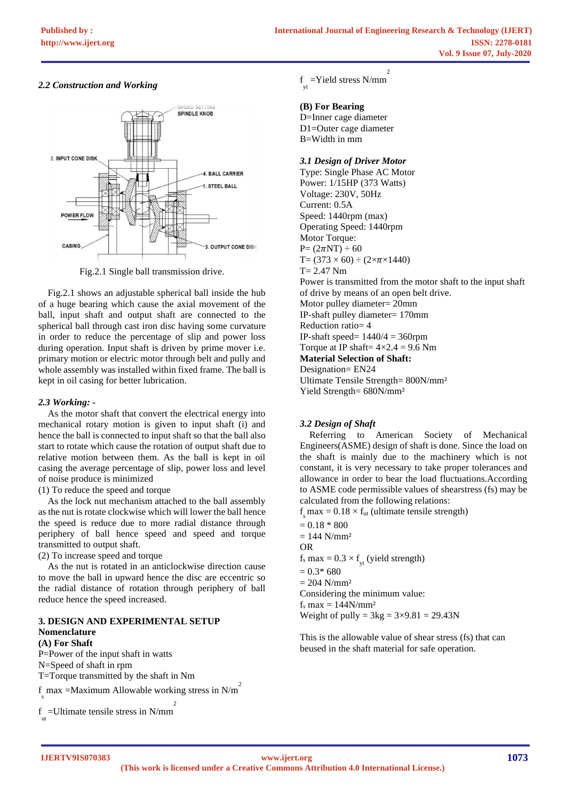## *2.2 Construction and Working*



Fig.2.1 Single ball transmission drive.

 Fig.2.1 shows an adjustable spherical ball inside the hub of a huge bearing which cause the axial movement of the ball, input shaft and output shaft are connected to the spherical ball through cast iron disc having some curvature in order to reduce the percentage of slip and power loss during operation. Input shaft is driven by prime mover i.e. primary motion or electric motor through belt and pully and whole assembly was installed within fixed frame. The ball is kept in oil casing for better lubrication.

## *2.3 Working: -*

 As the motor shaft that convert the electrical energy into mechanical rotary motion is given to input shaft (i) and hence the ball is connected to input shaft so that the ball also start to rotate which cause the rotation of output shaft due to relative motion between them. As the ball is kept in oil casing the average percentage of slip, power loss and level of noise produce is minimized

(1) To reduce the speed and torque

 As the lock nut mechanism attached to the ball assembly as the nut is rotate clockwise which will lower the ball hence the speed is reduce due to more radial distance through periphery of ball hence speed and speed and torque transmitted to output shaft.

(2) To increase speed and torque

 As the nut is rotated in an anticlockwise direction cause to move the ball in upward hence the disc are eccentric so the radial distance of rotation through periphery of ball reduce hence the speed increased.

#### **3. DESIGN AND EXPERIMENTAL SETUP Nomenclature (A) For Shaft**

P=Power of the input shaft in watts

N=Speed of shaft in rpm

T=Torque transmitted by the shaft in Nm

 $\int_{s}$  max =Maximum Allowable working stress in N/m<sup>2</sup>

 $f_{\text{ut}}$  =Ultimate tensile stress in N/mm 2 f =Yield stress N/mm yt  $\overline{2}$ 

## **(B) For Bearing**

D=Inner cage diameter D1=Outer cage diameter B=Width in mm

#### *3.1 Design of Driver Motor*

Type: Single Phase AC Motor Power: 1/15HP (373 Watts) Voltage: 230V, 50Hz Current: 0.5A Speed: 1440rpm (max) Operating Speed: 1440rpm Motor Torque:  $P = (2\pi NT) \div 60$  $T = (373 \times 60) \div (2 \times \pi \times 1440)$ T= 2.47 Nm Power is transmitted from the motor shaft to the input shaft of drive by means of an open belt drive. Motor pulley diameter= 20mm IP-shaft pulley diameter= 170mm Reduction ratio= 4 IP-shaft speed=  $1440/4 = 360$ rpm Torque at IP shaft=  $4 \times 2.4 = 9.6$  Nm **Material Selection of Shaft:** Designation= EN24 Ultimate Tensile Strength= 800N/mm² Yield Strength= 680N/mm<sup>2</sup>

## *3.2 Design of Shaft*

 Referring to American Society of Mechanical Engineers(ASME) design of shaft is done. Since the load on the shaft is mainly due to the machinery which is not constant, it is very necessary to take proper tolerances and allowance in order to bear the load fluctuations.According to ASME code permissible values of shearstress (fs) may be calculated from the following relations:

 $f<sub>s</sub>$  max = 0.18  $\times$  f<sub>ut</sub> (ultimate tensile strength)  $= 0.18 * 800$  $= 144$  N/mm<sup>2</sup> OR  $f_s$  max =  $0.3 \times f_{yt}$  (yield strength)  $= 0.3* 680$  $= 204$  N/mm<sup>2</sup> Considering the minimum value:  $f_s$  max = 144N/mm<sup>2</sup> Weight of pully =  $3kg = 3 \times 9.81 = 29.43N$ 

This is the allowable value of shear stress (fs) that can beused in the shaft material for safe operation.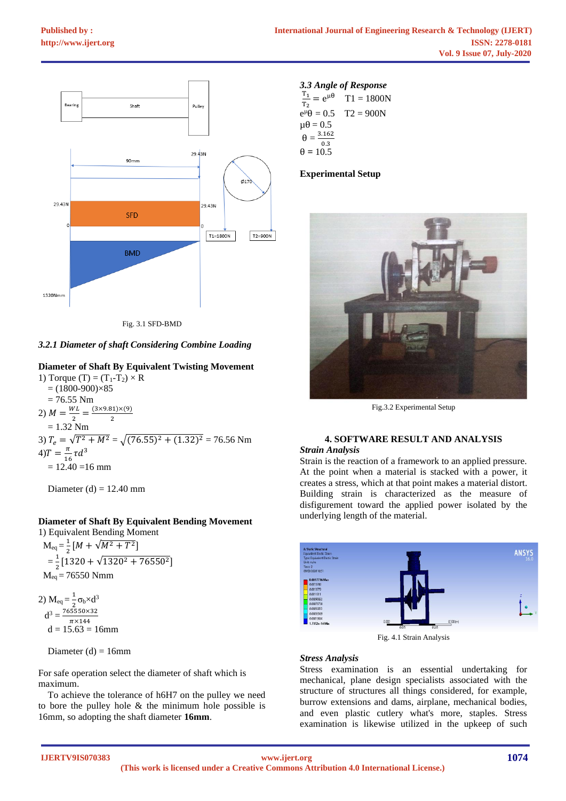

Fig. 3.1 SFD-BMD

## *3.2.1 Diameter of shaft Considering Combine Loading*

## **Diameter of Shaft By Equivalent Twisting Movement**

1) Torque (T) =  $(T_1-T_2) \times R$  $= (1800-900) \times 85$  $= 76.55$  Nm 2)  $M = \frac{WL}{2}$  $\frac{V}{2} = \frac{(3 \times 9.81) \times (9)}{2}$ 2  $= 1.32$  Nm 3)  $T_e = \sqrt{T^2 + M^2} = \sqrt{(76.55)^2 + (1.32)^2} = 76.56$  Nm  $4) T = \frac{\pi}{14}$  $\frac{\pi}{16} \tau d^3$  $= 12.40 = 16$  mm

Diameter (d) =  $12.40$  mm

## **Diameter of Shaft By Equivalent Bending Movement**

1) Equivalent Bending Moment  $M_{eq} = \frac{1}{2}$  $\frac{1}{2}[M + \sqrt{M^2 + T^2}]$  $=\frac{1}{2}$  $\frac{1}{2}$ [1320 +  $\sqrt{1320^2 + 76550^2}$ ]  $M_{eq} = 76550$  Nmm

2) 
$$
M_{eq} = \frac{1}{2} \sigma_b \times d^3
$$
  
\n $d^3 = \frac{765550 \times 32}{\pi \times 144}$   
\n $d = 15.63 = 16 \text{mm}$ 

Diameter  $(d) = 16$ mm

For safe operation select the diameter of shaft which is maximum.

 To achieve the tolerance of h6H7 on the pulley we need to bore the pulley hole & the minimum hole possible is 16mm, so adopting the shaft diameter **16mm**.

## *3.3 Angle of Response*  $\frac{T_1}{1}$  $\frac{11}{T_2} = e^{\mu \theta}$  T1 = 1800N

| $T2 = 900N$ |
|-------------|
|             |
|             |
|             |
|             |
|             |

#### **Experimental Setup**



Fig.3.2 Experimental Setup

## **4. SOFTWARE RESULT AND ANALYSIS**

#### *Strain Analysis*

Strain is the reaction of a framework to an applied pressure. At the point when a material is stacked with a power, it creates a stress, which at that point makes a material distort. Building strain is characterized as the measure of disfigurement toward the applied power isolated by the underlying length of the material.



Fig. 4.1 Strain Analysis

#### *Stress Analysis*

Stress examination is an essential undertaking for mechanical, plane design specialists associated with the structure of structures all things considered, for example, burrow extensions and dams, airplane, mechanical bodies, and even plastic cutlery what's more, staples. Stress examination is likewise utilized in the upkeep of such